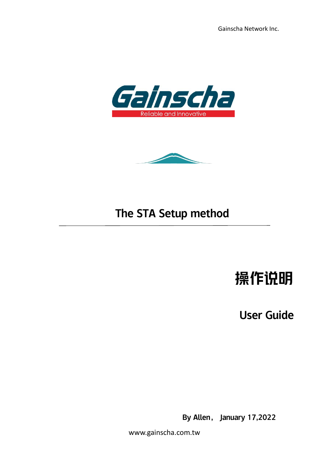Gainscha Network Inc.





## The STA Setup method

# 操作说明

User Guide

By Allen, January 17,2022

www.gainscha.com.tw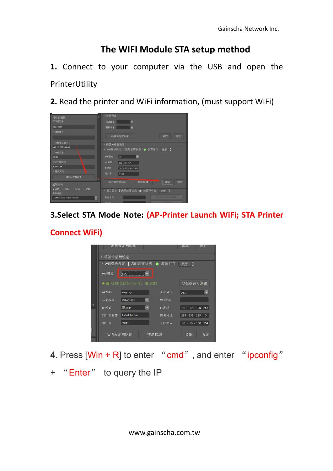### **The WIFI Module STA setup method**

**1.** Connect to your computer via the USB and open the PrinterUtility

**2.** Read the printer and WiFi information, (must support WiFi)

| ×<br>打印机资讯                                 | ▲系统设定                                             |
|--------------------------------------------|---------------------------------------------------|
| 打印机型号:                                     | $\checkmark$<br>自动模拟                              |
| GS-2406T                                   | 模拟命令<br>$\check{ }$                               |
| 打印机序号:                                     |                                                   |
|                                            | 系统设定初始化<br>设定<br>读取                               |
| 打印机核心版本:                                   | ▶ 标签传感器设定                                         |
| G1.1.3.63R10-BAS                           | ▲ Wifi模块设定 【选配装置状态:● 装置存在 更新 】                    |
| 打印机状态:                                     |                                                   |
| 就绪                                         | AP.<br>Wifi模式<br>$\checkmark$                     |
| 开机二区版本:                                    | AP名称<br>LabelPrn_AP                               |
| G1.0.1.15                                  | <b>IP 地址</b><br>$10 \cdot 10 \cdot 100 \cdot 254$ |
| ▷ 更多资讯                                     | 端口号<br>9100                                       |
| 读取打印机资讯                                    |                                                   |
| 通讯介面                                       | 模块检测<br>设定<br>WIFI设定初始化<br>读取                     |
| ◎串目<br><b>图 网口 图 WIFI</b><br>$\bullet$ USB | ▲ 蓝芽设定 【选配装置状态:● 装置不存在<br>更新】                     |
| 选取连线:                                      | 蓝马Mac地址声画                                         |
| $\checkmark$<br>GAINSCHAGS-2406T [USB004]  | 蓝芽名称<br><b>Contract Contract</b>                  |

#### **3.Select STA Mode Note: (AP-Printer Launch WiFi; STA Printer**

#### **Connect WiFi)**

|   |                | 杀犹设正初始化                   |              |        | 该取                                | 设证          |  |
|---|----------------|---------------------------|--------------|--------|-----------------------------------|-------------|--|
|   | ▷ 标签传感器设定      |                           |              |        |                                   |             |  |
|   |                | ▲ Wifi模块设定 【选配装置状态:● 装置存在 |              |        | 更新 】                              |             |  |
|   | Wifi模式         | <b>STA</b>                |              |        |                                   |             |  |
|   |                | ★ 输入SSID会区分大小写,请注意!       |              |        | APSSID 讯号测试                       |             |  |
|   | <b>AP SSID</b> | Wifi AP                   |              | 加密算法   | AES                               | $\check{~}$ |  |
|   | 认证模式           | WPA <sub>2-PSK</sub>      | $\check{~}$  | Wifi密码 |                                   |             |  |
| ۷ | IP模式           | 静态IP                      | $\checkmark$ | IP 地址  | $10 \cdot 10 \cdot 100 \cdot 254$ |             |  |
|   | 打印机名称          | Label Printer             |              | 网关地址   | $255 \cdot 255 \cdot 255 \cdot 0$ |             |  |
|   | 端口号            | 9100                      |              | 子网掩码   | $10 \cdot 10 \cdot 100 \cdot 254$ |             |  |
|   | WIFI设定初始化      |                           | 模块检测         |        | 读取                                | 设定          |  |

- **4.** Press [Win + R] to enter "cmd", and enter "ipconfig"
- + "Enter" to query the IP

www.gainscha.com.tw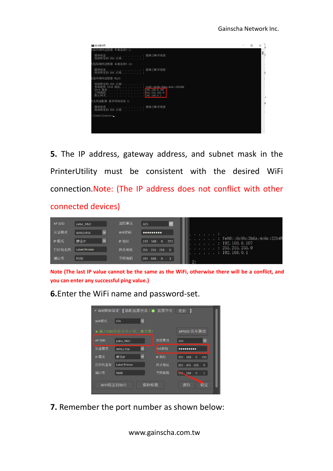

**5.** The IP address, gateway address, and subnet mask in the PrinterUtility must be consistent with the desired WiFi connection.Note: (The IP address does not conflict with other

#### connected devices)

| <b>AP SSID</b> | jiabo R&D               | 加密算法   | $\mathbf{v}$<br><b>AES</b>                                                                                 |
|----------------|-------------------------|--------|------------------------------------------------------------------------------------------------------------|
| 认证模式           | $\check{~}$<br>WPA2-PSK | Wifi密码 | $0000000000$                                                                                               |
| IP模式           | $\check{ }$<br>静态IP     | IP 地址  | $: \text{fe80}: \text{6c9b}: 3b6a: 4c6c: 22b4\%$<br>$192 \cdot 168 \cdot 0 \cdot 253$<br>: 192, 168, 0.107 |
| 打印机名称          | Label Printer           | 网关地址   | : 255, 255, 255, 0<br>$255 \cdot 255 \cdot 255 \cdot 0$<br>$\pm$ 192, 168, 0, 1                            |
| 端口号            | 9100                    | 子网掩码   | $192 \cdot 168 \cdot 0 \cdot 1$<br>2:                                                                      |

Note (The last IP value cannot be the same as the WiFi, otherwise there will be a conflict, and **you can enter any successful ping value.)**

**6.**Enter the WiFi name and password-set.



**7.** Remember the port number as shown below: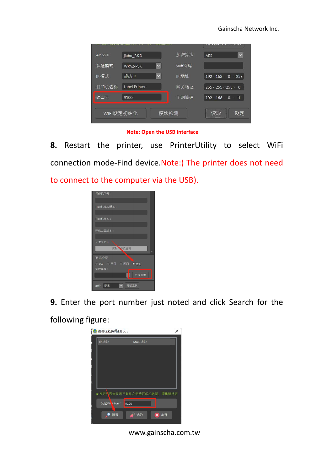| <b>AP SSID</b> | jiabo R&D            | 加密算法   | $\checkmark$<br><b>AES</b>        |
|----------------|----------------------|--------|-----------------------------------|
| 认证模式           | v<br>WPA2-PSK        | Wifi密码 |                                   |
| IP模式           | 静态IP<br>$\checkmark$ | IP 地址  | $192 \cdot 168 \cdot 0 \cdot 253$ |
| 打印机名称          | <b>Label Printer</b> | 网关地址   | $255 \cdot 255 \cdot 255 \cdot 0$ |
| 端口号            | 9100                 | 子网掩码   | $192 \cdot 168 \cdot 0 \cdot 1$   |
|                | WIFI设定初始化<br>模块检测    |        | 设定<br>读取                          |

**Note: Open the USB interface**

**8.** Restart the printer, use PrinterUtility to select WiFi connection mode-Find device.Note:( The printer does not need to connect to the computer via the USB).



**9.** Enter the port number just noted and click Search for the

following figure:



www.gainscha.com.tw